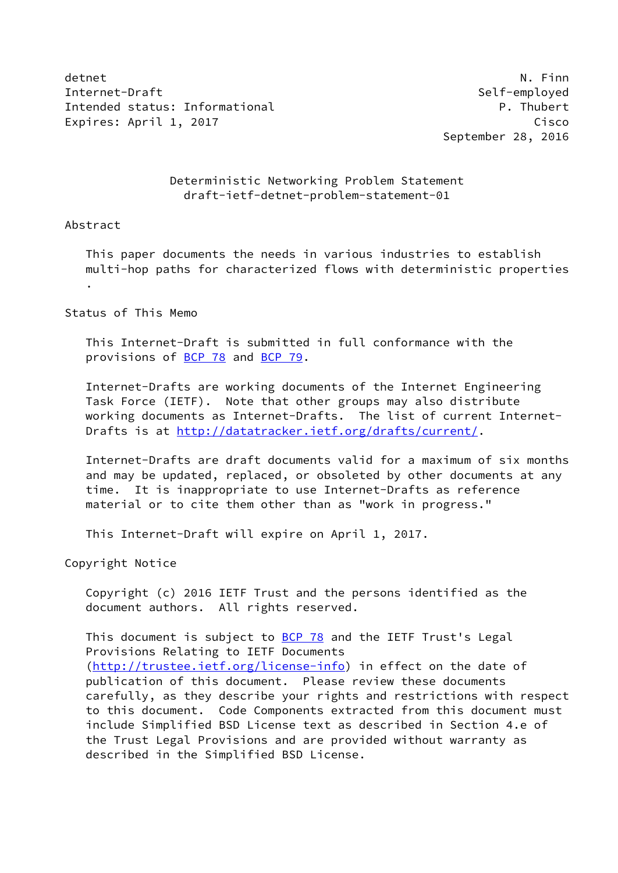detnet N. Finn Internet-Draft Self-employed Intended status: Informational example and the properties of the P. Thubert Expires: April 1, 2017 Cisco

September 28, 2016

## Deterministic Networking Problem Statement draft-ietf-detnet-problem-statement-01

#### Abstract

 This paper documents the needs in various industries to establish multi-hop paths for characterized flows with deterministic properties .

## Status of This Memo

 This Internet-Draft is submitted in full conformance with the provisions of [BCP 78](https://datatracker.ietf.org/doc/pdf/bcp78) and [BCP 79](https://datatracker.ietf.org/doc/pdf/bcp79).

 Internet-Drafts are working documents of the Internet Engineering Task Force (IETF). Note that other groups may also distribute working documents as Internet-Drafts. The list of current Internet Drafts is at<http://datatracker.ietf.org/drafts/current/>.

 Internet-Drafts are draft documents valid for a maximum of six months and may be updated, replaced, or obsoleted by other documents at any time. It is inappropriate to use Internet-Drafts as reference material or to cite them other than as "work in progress."

This Internet-Draft will expire on April 1, 2017.

Copyright Notice

 Copyright (c) 2016 IETF Trust and the persons identified as the document authors. All rights reserved.

This document is subject to **[BCP 78](https://datatracker.ietf.org/doc/pdf/bcp78)** and the IETF Trust's Legal Provisions Relating to IETF Documents [\(http://trustee.ietf.org/license-info](http://trustee.ietf.org/license-info)) in effect on the date of publication of this document. Please review these documents carefully, as they describe your rights and restrictions with respect to this document. Code Components extracted from this document must include Simplified BSD License text as described in Section 4.e of the Trust Legal Provisions and are provided without warranty as described in the Simplified BSD License.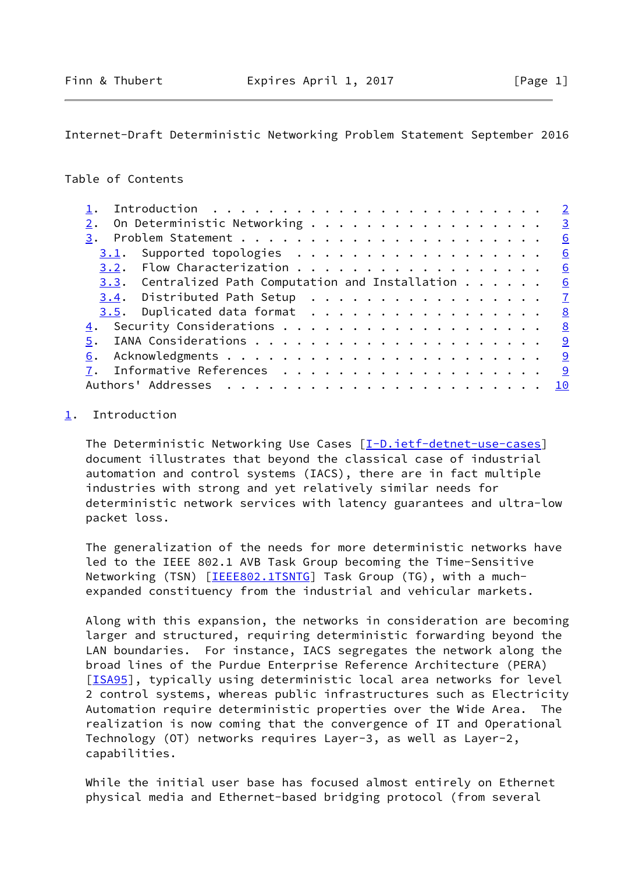# <span id="page-1-1"></span>Table of Contents

|                                                               | $\overline{\phantom{0}}^2$ |
|---------------------------------------------------------------|----------------------------|
|                                                               |                            |
| On Deterministic Networking 3                                 |                            |
|                                                               | 6                          |
|                                                               | 6                          |
| 3.2. Flow Characterization 6                                  |                            |
| 3.3. Centralized Path Computation and Installation $\cdots$ 6 |                            |
| <u>3.4</u> . Distributed Path Setup <u>7</u>                  |                            |
| 3.5. Duplicated data format                                   | 8                          |
|                                                               | 8                          |
|                                                               |                            |
| 6.                                                            |                            |
| 7. Informative References 9                                   |                            |
|                                                               | 10                         |
|                                                               |                            |

## <span id="page-1-0"></span>[1](#page-1-0). Introduction

 The Deterministic Networking Use Cases [\[I-D.ietf-detnet-use-cases](#page-9-4)] document illustrates that beyond the classical case of industrial automation and control systems (IACS), there are in fact multiple industries with strong and yet relatively similar needs for deterministic network services with latency guarantees and ultra-low packet loss.

 The generalization of the needs for more deterministic networks have led to the IEEE 802.1 AVB Task Group becoming the Time-Sensitive Networking (TSN) [\[IEEE802.1TSNTG](#page-10-1)] Task Group (TG), with a muchexpanded constituency from the industrial and vehicular markets.

 Along with this expansion, the networks in consideration are becoming larger and structured, requiring deterministic forwarding beyond the LAN boundaries. For instance, IACS segregates the network along the broad lines of the Purdue Enterprise Reference Architecture (PERA) [\[ISA95](#page-10-2)], typically using deterministic local area networks for level 2 control systems, whereas public infrastructures such as Electricity Automation require deterministic properties over the Wide Area. The realization is now coming that the convergence of IT and Operational Technology (OT) networks requires Layer-3, as well as Layer-2, capabilities.

 While the initial user base has focused almost entirely on Ethernet physical media and Ethernet-based bridging protocol (from several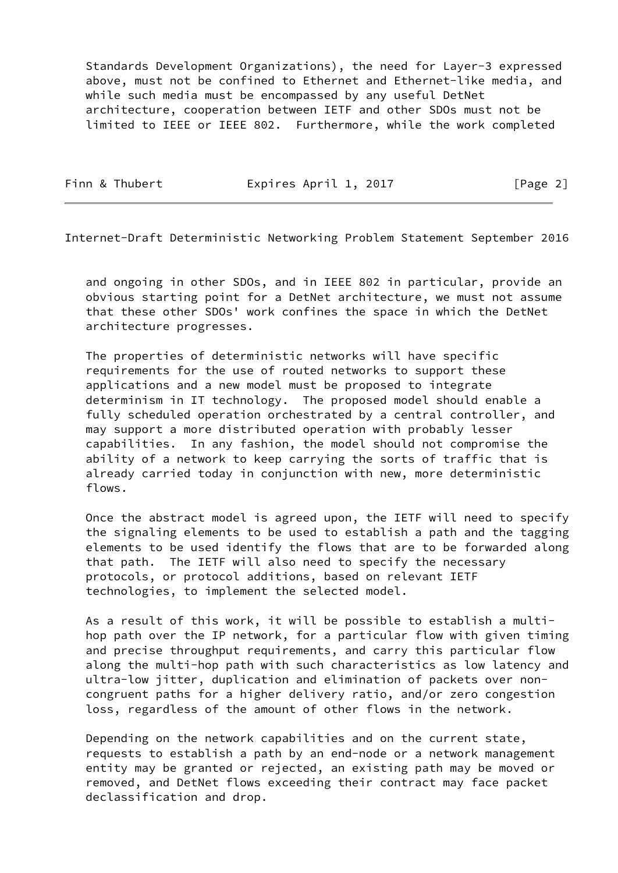Standards Development Organizations), the need for Layer-3 expressed above, must not be confined to Ethernet and Ethernet-like media, and while such media must be encompassed by any useful DetNet architecture, cooperation between IETF and other SDOs must not be limited to IEEE or IEEE 802. Furthermore, while the work completed

Finn & Thubert **Expires April 1, 2017** [Page 2]

<span id="page-2-0"></span>Internet-Draft Deterministic Networking Problem Statement September 2016

 and ongoing in other SDOs, and in IEEE 802 in particular, provide an obvious starting point for a DetNet architecture, we must not assume that these other SDOs' work confines the space in which the DetNet architecture progresses.

 The properties of deterministic networks will have specific requirements for the use of routed networks to support these applications and a new model must be proposed to integrate determinism in IT technology. The proposed model should enable a fully scheduled operation orchestrated by a central controller, and may support a more distributed operation with probably lesser capabilities. In any fashion, the model should not compromise the ability of a network to keep carrying the sorts of traffic that is already carried today in conjunction with new, more deterministic flows.

 Once the abstract model is agreed upon, the IETF will need to specify the signaling elements to be used to establish a path and the tagging elements to be used identify the flows that are to be forwarded along that path. The IETF will also need to specify the necessary protocols, or protocol additions, based on relevant IETF technologies, to implement the selected model.

 As a result of this work, it will be possible to establish a multi hop path over the IP network, for a particular flow with given timing and precise throughput requirements, and carry this particular flow along the multi-hop path with such characteristics as low latency and ultra-low jitter, duplication and elimination of packets over non congruent paths for a higher delivery ratio, and/or zero congestion loss, regardless of the amount of other flows in the network.

 Depending on the network capabilities and on the current state, requests to establish a path by an end-node or a network management entity may be granted or rejected, an existing path may be moved or removed, and DetNet flows exceeding their contract may face packet declassification and drop.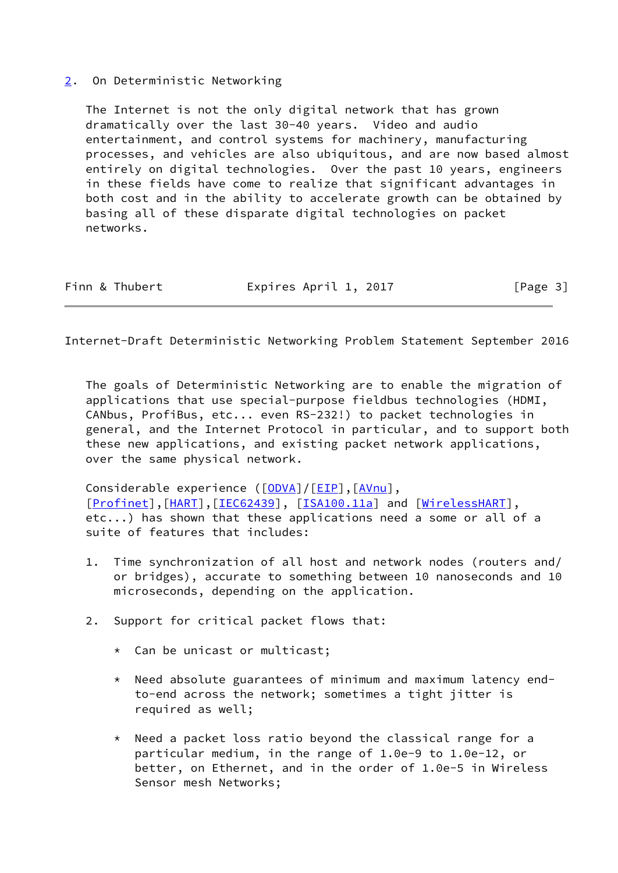#### <span id="page-3-0"></span>[2](#page-3-0). On Deterministic Networking

 The Internet is not the only digital network that has grown dramatically over the last 30-40 years. Video and audio entertainment, and control systems for machinery, manufacturing processes, and vehicles are also ubiquitous, and are now based almost entirely on digital technologies. Over the past 10 years, engineers in these fields have come to realize that significant advantages in both cost and in the ability to accelerate growth can be obtained by basing all of these disparate digital technologies on packet networks.

| Finn & Thubert | Expires April 1, 2017 | [Page 3] |
|----------------|-----------------------|----------|
|----------------|-----------------------|----------|

Internet-Draft Deterministic Networking Problem Statement September 2016

 The goals of Deterministic Networking are to enable the migration of applications that use special-purpose fieldbus technologies (HDMI, CANbus, ProfiBus, etc... even RS-232!) to packet technologies in general, and the Internet Protocol in particular, and to support both these new applications, and existing packet network applications, over the same physical network.

Considerable experience ( $[ODVA]/[EIP]$  $[ODVA]/[EIP]$  $[ODVA]/[EIP]$  $[ODVA]/[EIP]$ ,  $[AVnu]$  $[AVnu]$ , [\[Profinet](#page-10-4)],[[HART\]](#page-9-7),[[IEC62439\]](#page-9-8), [[ISA100.11a\]](#page-10-5) and [\[WirelessHART](#page-10-6)], etc...) has shown that these applications need a some or all of a suite of features that includes:

- 1. Time synchronization of all host and network nodes (routers and/ or bridges), accurate to something between 10 nanoseconds and 10 microseconds, depending on the application.
- 2. Support for critical packet flows that:
	- \* Can be unicast or multicast;
	- \* Need absolute guarantees of minimum and maximum latency end to-end across the network; sometimes a tight jitter is required as well;
	- Need a packet loss ratio beyond the classical range for a particular medium, in the range of 1.0e-9 to 1.0e-12, or better, on Ethernet, and in the order of 1.0e-5 in Wireless Sensor mesh Networks;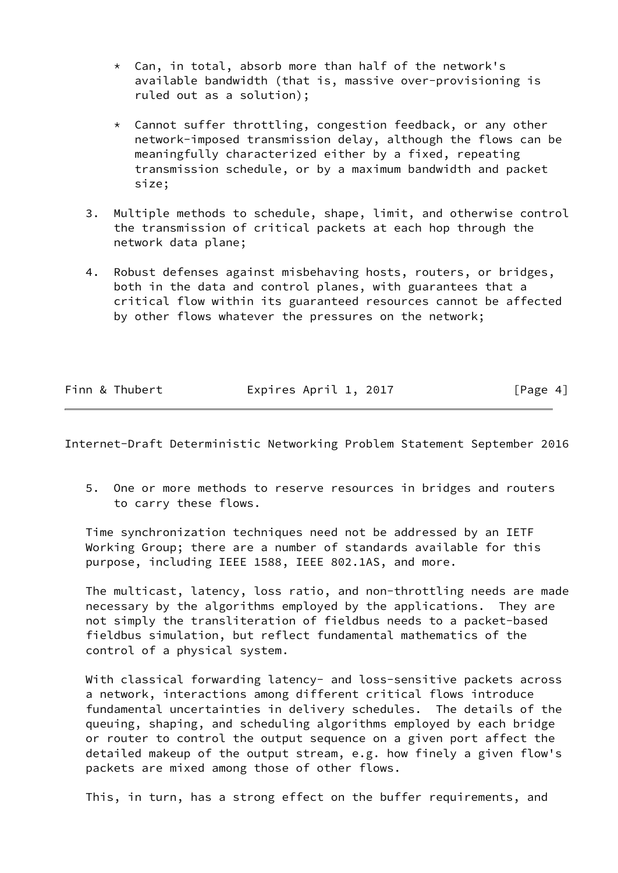- $*$  Can, in total, absorb more than half of the network's available bandwidth (that is, massive over-provisioning is ruled out as a solution);
- \* Cannot suffer throttling, congestion feedback, or any other network-imposed transmission delay, although the flows can be meaningfully characterized either by a fixed, repeating transmission schedule, or by a maximum bandwidth and packet size;
- 3. Multiple methods to schedule, shape, limit, and otherwise control the transmission of critical packets at each hop through the network data plane;
- 4. Robust defenses against misbehaving hosts, routers, or bridges, both in the data and control planes, with guarantees that a critical flow within its guaranteed resources cannot be affected by other flows whatever the pressures on the network;

| Finn & Thubert | Expires April 1, 2017 | [Page 4] |
|----------------|-----------------------|----------|

 5. One or more methods to reserve resources in bridges and routers to carry these flows.

 Time synchronization techniques need not be addressed by an IETF Working Group; there are a number of standards available for this purpose, including IEEE 1588, IEEE 802.1AS, and more.

 The multicast, latency, loss ratio, and non-throttling needs are made necessary by the algorithms employed by the applications. They are not simply the transliteration of fieldbus needs to a packet-based fieldbus simulation, but reflect fundamental mathematics of the control of a physical system.

With classical forwarding latency- and loss-sensitive packets across a network, interactions among different critical flows introduce fundamental uncertainties in delivery schedules. The details of the queuing, shaping, and scheduling algorithms employed by each bridge or router to control the output sequence on a given port affect the detailed makeup of the output stream, e.g. how finely a given flow's packets are mixed among those of other flows.

This, in turn, has a strong effect on the buffer requirements, and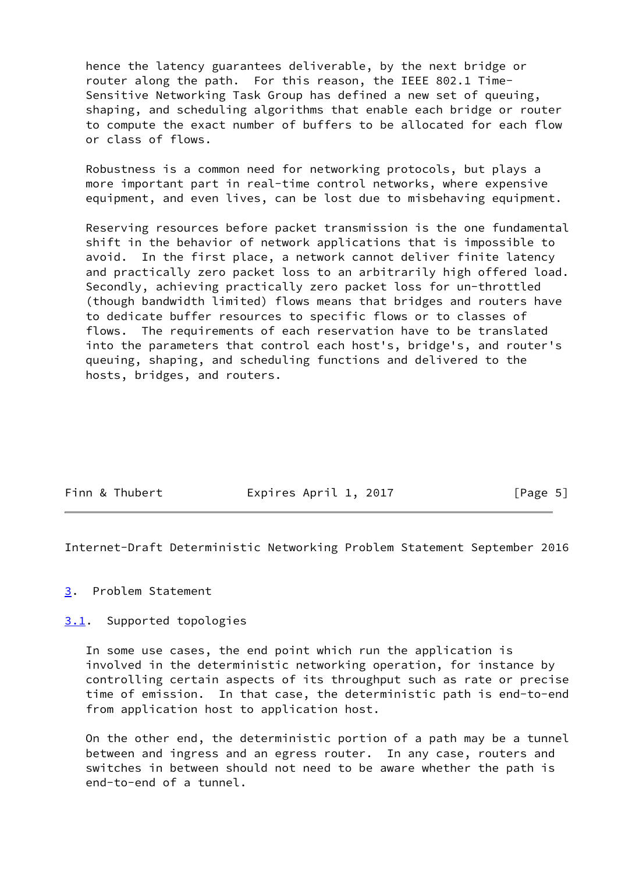hence the latency guarantees deliverable, by the next bridge or router along the path. For this reason, the IEEE 802.1 Time- Sensitive Networking Task Group has defined a new set of queuing, shaping, and scheduling algorithms that enable each bridge or router to compute the exact number of buffers to be allocated for each flow or class of flows.

 Robustness is a common need for networking protocols, but plays a more important part in real-time control networks, where expensive equipment, and even lives, can be lost due to misbehaving equipment.

 Reserving resources before packet transmission is the one fundamental shift in the behavior of network applications that is impossible to avoid. In the first place, a network cannot deliver finite latency and practically zero packet loss to an arbitrarily high offered load. Secondly, achieving practically zero packet loss for un-throttled (though bandwidth limited) flows means that bridges and routers have to dedicate buffer resources to specific flows or to classes of flows. The requirements of each reservation have to be translated into the parameters that control each host's, bridge's, and router's queuing, shaping, and scheduling functions and delivered to the hosts, bridges, and routers.

| Finn & Thubert | Expires April 1, 2017 | [Page 5] |
|----------------|-----------------------|----------|
|                |                       |          |

<span id="page-5-1"></span>Internet-Draft Deterministic Networking Problem Statement September 2016

#### <span id="page-5-0"></span>[3](#page-5-0). Problem Statement

<span id="page-5-2"></span>[3.1](#page-5-2). Supported topologies

 In some use cases, the end point which run the application is involved in the deterministic networking operation, for instance by controlling certain aspects of its throughput such as rate or precise time of emission. In that case, the deterministic path is end-to-end from application host to application host.

 On the other end, the deterministic portion of a path may be a tunnel between and ingress and an egress router. In any case, routers and switches in between should not need to be aware whether the path is end-to-end of a tunnel.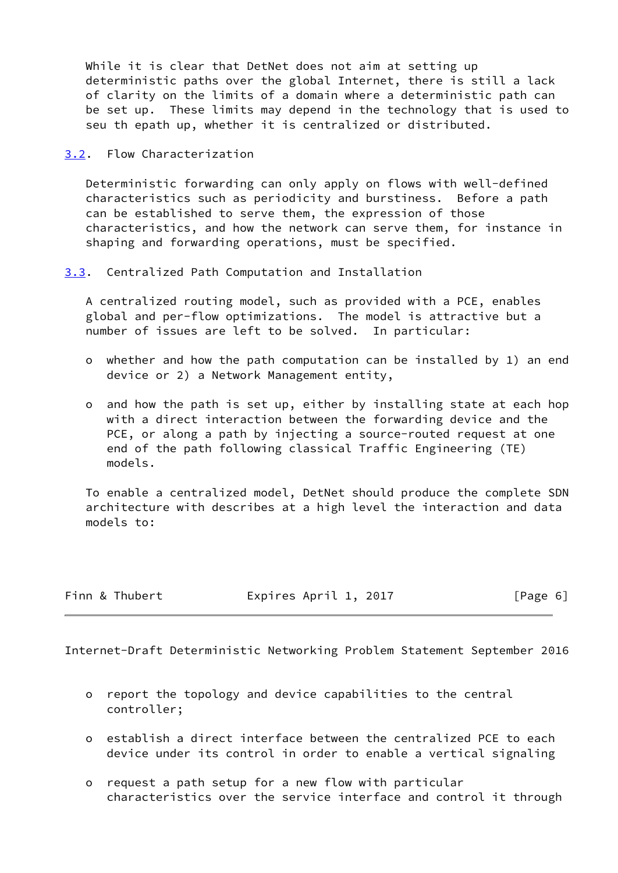While it is clear that DetNet does not aim at setting up deterministic paths over the global Internet, there is still a lack of clarity on the limits of a domain where a deterministic path can be set up. These limits may depend in the technology that is used to seu th epath up, whether it is centralized or distributed.

<span id="page-6-0"></span>[3.2](#page-6-0). Flow Characterization

 Deterministic forwarding can only apply on flows with well-defined characteristics such as periodicity and burstiness. Before a path can be established to serve them, the expression of those characteristics, and how the network can serve them, for instance in shaping and forwarding operations, must be specified.

<span id="page-6-1"></span>[3.3](#page-6-1). Centralized Path Computation and Installation

 A centralized routing model, such as provided with a PCE, enables global and per-flow optimizations. The model is attractive but a number of issues are left to be solved. In particular:

- o whether and how the path computation can be installed by 1) an end device or 2) a Network Management entity,
- o and how the path is set up, either by installing state at each hop with a direct interaction between the forwarding device and the PCE, or along a path by injecting a source-routed request at one end of the path following classical Traffic Engineering (TE) models.

 To enable a centralized model, DetNet should produce the complete SDN architecture with describes at a high level the interaction and data models to:

Finn & Thubert **Expires April 1, 2017** [Page 6]

<span id="page-6-2"></span>Internet-Draft Deterministic Networking Problem Statement September 2016

- o report the topology and device capabilities to the central controller;
- o establish a direct interface between the centralized PCE to each device under its control in order to enable a vertical signaling
- o request a path setup for a new flow with particular characteristics over the service interface and control it through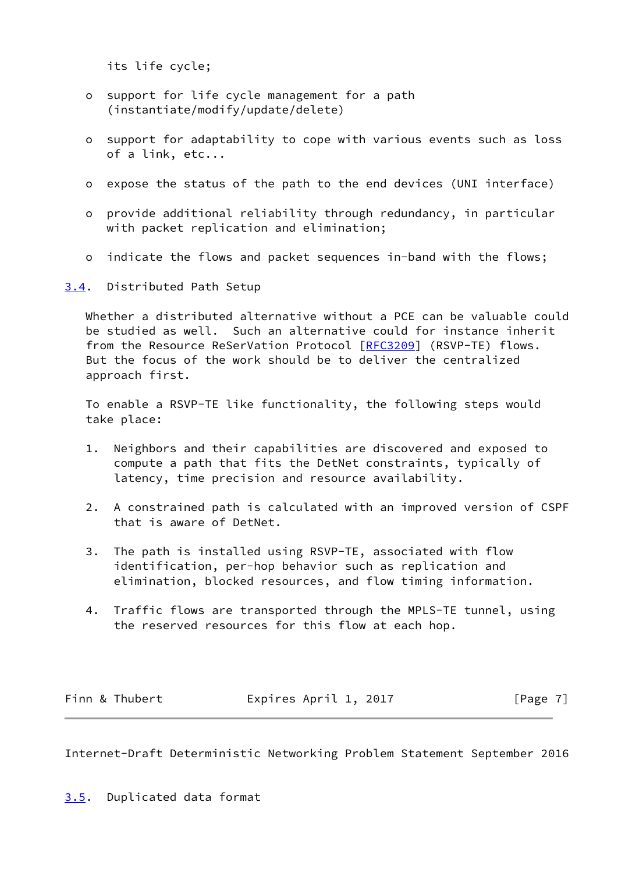its life cycle;

- o support for life cycle management for a path (instantiate/modify/update/delete)
- o support for adaptability to cope with various events such as loss of a link, etc...
- o expose the status of the path to the end devices (UNI interface)
- o provide additional reliability through redundancy, in particular with packet replication and elimination;
- o indicate the flows and packet sequences in-band with the flows;

<span id="page-7-0"></span>[3.4](#page-7-0). Distributed Path Setup

 Whether a distributed alternative without a PCE can be valuable could be studied as well. Such an alternative could for instance inherit from the Resource ReSerVation Protocol [\[RFC3209](https://datatracker.ietf.org/doc/pdf/rfc3209)] (RSVP-TE) flows. But the focus of the work should be to deliver the centralized approach first.

 To enable a RSVP-TE like functionality, the following steps would take place:

- 1. Neighbors and their capabilities are discovered and exposed to compute a path that fits the DetNet constraints, typically of latency, time precision and resource availability.
- 2. A constrained path is calculated with an improved version of CSPF that is aware of DetNet.
- 3. The path is installed using RSVP-TE, associated with flow identification, per-hop behavior such as replication and elimination, blocked resources, and flow timing information.
- 4. Traffic flows are transported through the MPLS-TE tunnel, using the reserved resources for this flow at each hop.

| Finn & Thubert | Expires April 1, 2017 | [Page 7] |
|----------------|-----------------------|----------|
|                |                       |          |

<span id="page-7-2"></span><span id="page-7-1"></span>Internet-Draft Deterministic Networking Problem Statement September 2016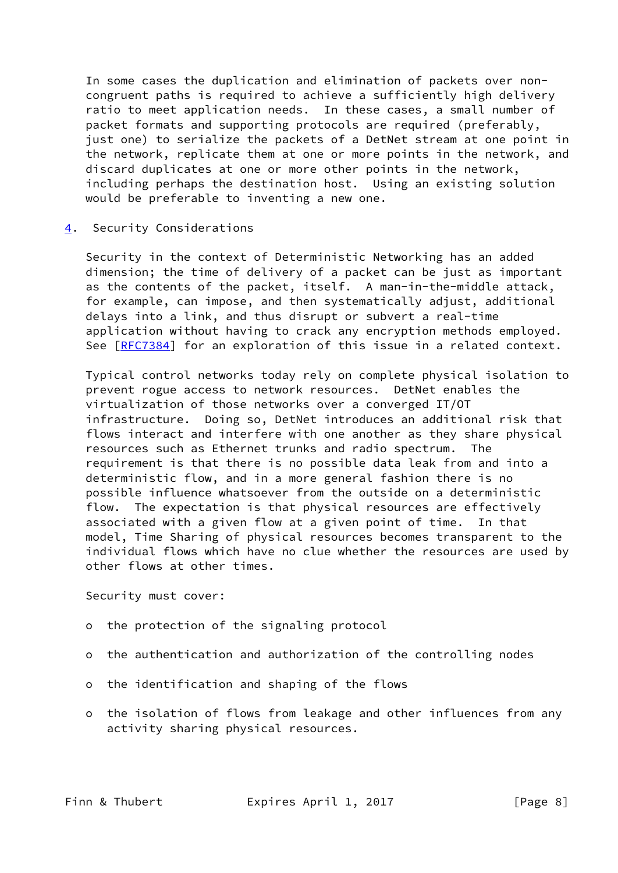In some cases the duplication and elimination of packets over non congruent paths is required to achieve a sufficiently high delivery ratio to meet application needs. In these cases, a small number of packet formats and supporting protocols are required (preferably, just one) to serialize the packets of a DetNet stream at one point in the network, replicate them at one or more points in the network, and discard duplicates at one or more other points in the network, including perhaps the destination host. Using an existing solution would be preferable to inventing a new one.

<span id="page-8-0"></span>[4](#page-8-0). Security Considerations

 Security in the context of Deterministic Networking has an added dimension; the time of delivery of a packet can be just as important as the contents of the packet, itself. A man-in-the-middle attack, for example, can impose, and then systematically adjust, additional delays into a link, and thus disrupt or subvert a real-time application without having to crack any encryption methods employed. See [\[RFC7384](https://datatracker.ietf.org/doc/pdf/rfc7384)] for an exploration of this issue in a related context.

 Typical control networks today rely on complete physical isolation to prevent rogue access to network resources. DetNet enables the virtualization of those networks over a converged IT/OT infrastructure. Doing so, DetNet introduces an additional risk that flows interact and interfere with one another as they share physical resources such as Ethernet trunks and radio spectrum. The requirement is that there is no possible data leak from and into a deterministic flow, and in a more general fashion there is no possible influence whatsoever from the outside on a deterministic flow. The expectation is that physical resources are effectively associated with a given flow at a given point of time. In that model, Time Sharing of physical resources becomes transparent to the individual flows which have no clue whether the resources are used by other flows at other times.

Security must cover:

- o the protection of the signaling protocol
- o the authentication and authorization of the controlling nodes
- o the identification and shaping of the flows
- o the isolation of flows from leakage and other influences from any activity sharing physical resources.

Finn & Thubert **Expires April 1, 2017** [Page 8]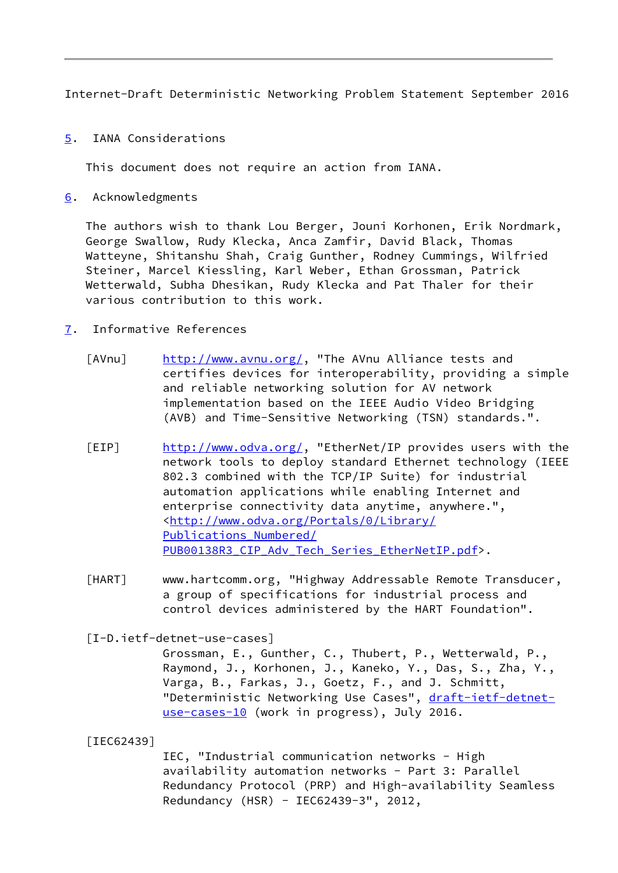<span id="page-9-1"></span><span id="page-9-0"></span>[5](#page-9-0). IANA Considerations

This document does not require an action from IANA.

<span id="page-9-2"></span>[6](#page-9-2). Acknowledgments

 The authors wish to thank Lou Berger, Jouni Korhonen, Erik Nordmark, George Swallow, Rudy Klecka, Anca Zamfir, David Black, Thomas Watteyne, Shitanshu Shah, Craig Gunther, Rodney Cummings, Wilfried Steiner, Marcel Kiessling, Karl Weber, Ethan Grossman, Patrick Wetterwald, Subha Dhesikan, Rudy Klecka and Pat Thaler for their various contribution to this work.

- <span id="page-9-6"></span><span id="page-9-5"></span><span id="page-9-3"></span>[7](#page-9-3). Informative References
	- [AVnu] [http://www.avnu.org/,](http://www.avnu.org/) "The AVnu Alliance tests and certifies devices for interoperability, providing a simple and reliable networking solution for AV network implementation based on the IEEE Audio Video Bridging (AVB) and Time-Sensitive Networking (TSN) standards.".
	- [EIP] [http://www.odva.org/,](http://www.odva.org/) "EtherNet/IP provides users with the network tools to deploy standard Ethernet technology (IEEE 802.3 combined with the TCP/IP Suite) for industrial automation applications while enabling Internet and enterprise connectivity data anytime, anywhere.", <[http://www.odva.org/Portals/0/Library/](http://www.odva.org/Portals/0/Library/Publications_Numbered/PUB00138R3_CIP_Adv_Tech_Series_EtherNetIP.pdf) [Publications\\_Numbered/](http://www.odva.org/Portals/0/Library/Publications_Numbered/PUB00138R3_CIP_Adv_Tech_Series_EtherNetIP.pdf) PUB00138R3 CIP Adv Tech Series EtherNetIP.pdf>.
	- [HART] www.hartcomm.org, "Highway Addressable Remote Transducer, a group of specifications for industrial process and control devices administered by the HART Foundation".

<span id="page-9-7"></span><span id="page-9-4"></span>[I-D.ietf-detnet-use-cases]

 Grossman, E., Gunther, C., Thubert, P., Wetterwald, P., Raymond, J., Korhonen, J., Kaneko, Y., Das, S., Zha, Y., Varga, B., Farkas, J., Goetz, F., and J. Schmitt, "Deterministic Networking Use Cases", [draft-ietf-detnet](https://datatracker.ietf.org/doc/pdf/draft-ietf-detnet-use-cases-10) [use-cases-10](https://datatracker.ietf.org/doc/pdf/draft-ietf-detnet-use-cases-10) (work in progress), July 2016.

<span id="page-9-8"></span>[IEC62439]

 IEC, "Industrial communication networks - High availability automation networks - Part 3: Parallel Redundancy Protocol (PRP) and High-availability Seamless Redundancy (HSR) - IEC62439-3", 2012,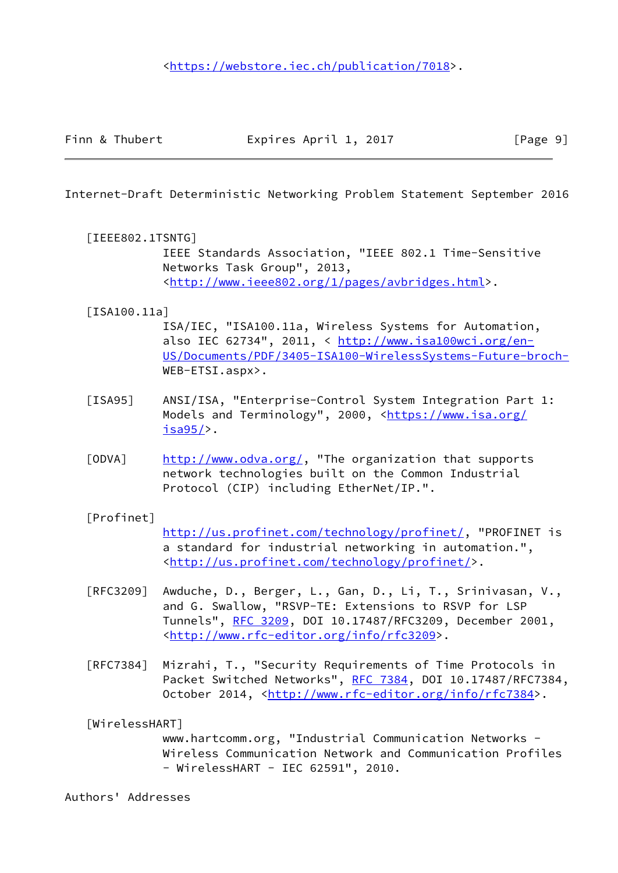<span id="page-10-0"></span>

# <span id="page-10-1"></span>[IEEE802.1TSNTG]

 IEEE Standards Association, "IEEE 802.1 Time-Sensitive Networks Task Group", 2013, <[http://www.ieee802.org/1/pages/avbridges.html>](http://www.ieee802.org/1/pages/avbridges.html).

# <span id="page-10-5"></span>[ISA100.11a]

 ISA/IEC, "ISA100.11a, Wireless Systems for Automation, also IEC 62734", 2011, < [http://www.isa100wci.org/en-](http://www.isa100wci.org/en-US/Documents/PDF/3405-ISA100-WirelessSystems-Future-broch-) [US/Documents/PDF/3405-ISA100-WirelessSystems-Future-broch-](http://www.isa100wci.org/en-US/Documents/PDF/3405-ISA100-WirelessSystems-Future-broch-) WEB-ETSI.aspx>.

- <span id="page-10-2"></span>[ISA95] ANSI/ISA, "Enterprise-Control System Integration Part 1: Models and Terminology", 2000, <[https://www.isa.org/](https://www.isa.org/isa95/) [isa95/](https://www.isa.org/isa95/)>.
- <span id="page-10-3"></span>[ODVA] [http://www.odva.org/,](http://www.odva.org/) "The organization that supports network technologies built on the Common Industrial Protocol (CIP) including EtherNet/IP.".

# <span id="page-10-4"></span>[Profinet]

 <http://us.profinet.com/technology/profinet/>, "PROFINET is a standard for industrial networking in automation.", <[http://us.profinet.com/technology/profinet/>](http://us.profinet.com/technology/profinet/).

- [RFC3209] Awduche, D., Berger, L., Gan, D., Li, T., Srinivasan, V., and G. Swallow, "RSVP-TE: Extensions to RSVP for LSP Tunnels", [RFC 3209](https://datatracker.ietf.org/doc/pdf/rfc3209), DOI 10.17487/RFC3209, December 2001, <<http://www.rfc-editor.org/info/rfc3209>>.
- [RFC7384] Mizrahi, T., "Security Requirements of Time Protocols in Packet Switched Networks", [RFC 7384](https://datatracker.ietf.org/doc/pdf/rfc7384), DOI 10.17487/RFC7384, October 2014, [<http://www.rfc-editor.org/info/rfc7384](http://www.rfc-editor.org/info/rfc7384)>.

# <span id="page-10-6"></span>[WirelessHART]

 www.hartcomm.org, "Industrial Communication Networks - Wireless Communication Network and Communication Profiles - WirelessHART - IEC 62591", 2010.

Authors' Addresses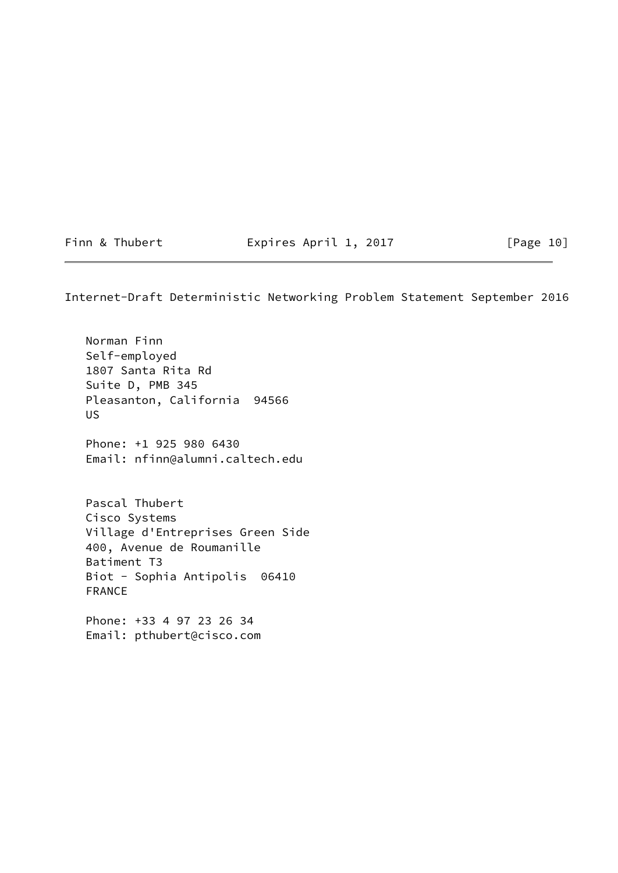Finn & Thubert **Expires April 1, 2017** [Page 10]

Internet-Draft Deterministic Networking Problem Statement September 2016

 Norman Finn Self-employed 1807 Santa Rita Rd Suite D, PMB 345 Pleasanton, California 94566 US Phone: +1 925 980 6430 Email: nfinn@alumni.caltech.edu Pascal Thubert Cisco Systems Village d'Entreprises Green Side 400, Avenue de Roumanille Batiment T3 Biot - Sophia Antipolis 06410

 Phone: +33 4 97 23 26 34 Email: pthubert@cisco.com

FRANCE